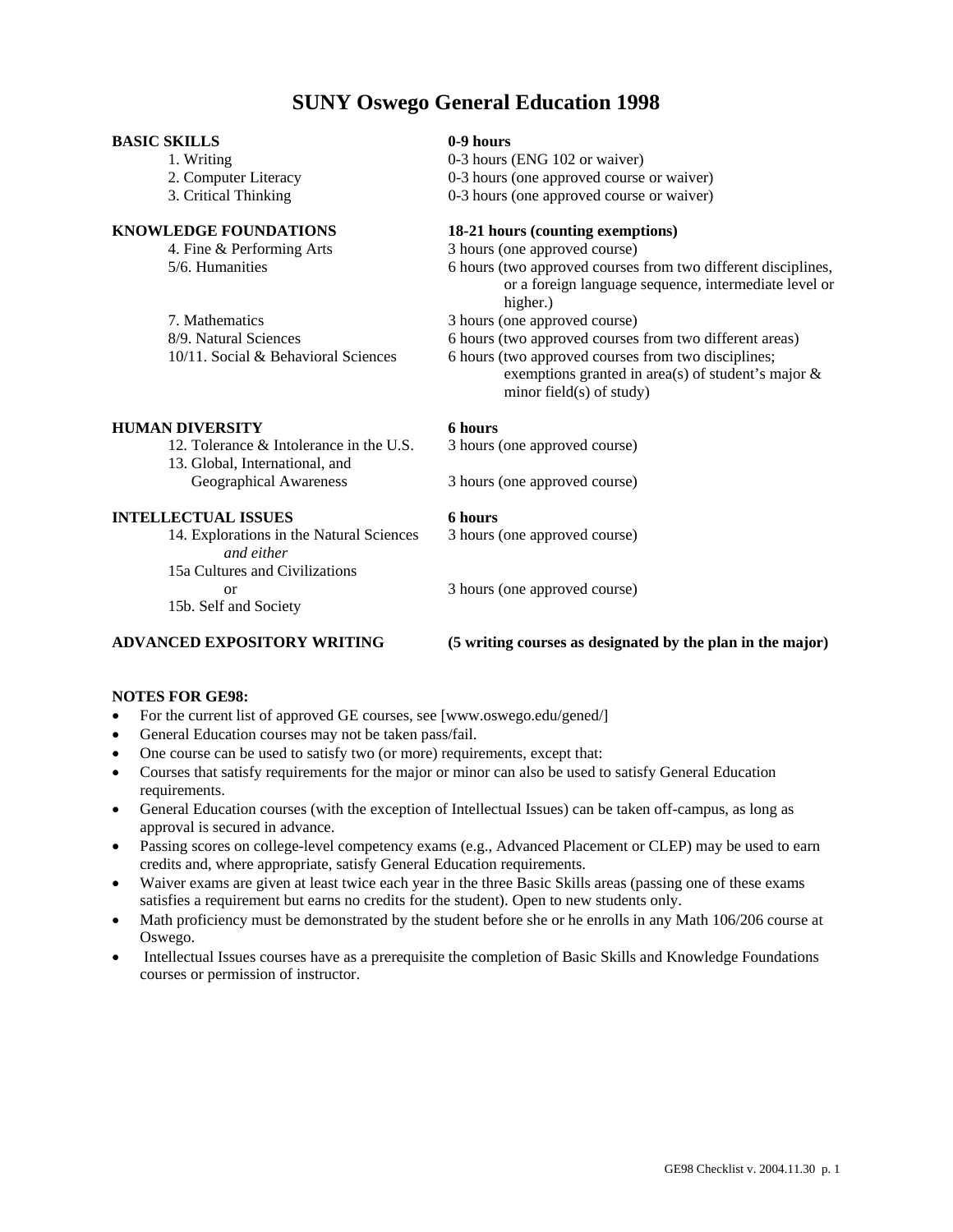## **SUNY Oswego General Education 1998**

### **BASIC SKILLS 0-9 hours**

### **KNOWLEDGE FOUNDATIONS 18-21 hours (counting exemptions)**

7. Mathematics 3 hours (one approved course)

### **HUMAN DIVERSITY 6 hours**

12. Tolerance & Intolerance in the U.S. 3 hours (one approved course) 13. Global, International, and

### **INTELLECTUAL ISSUES 6 hours**

14. Explorations in the Natural Sciences 3 hours (one approved course) *and either*  15a Cultures and Civilizations

15b. Self and Society

1. Writing 0-3 hours (ENG 102 or waiver) 2. Computer Literacy 0-3 hours (one approved course or waiver)

3. Critical Thinking 0-3 hours (one approved course or waiver)

4. Fine & Performing Arts 3 hours (one approved course)

5/6. Humanities 6 hours (two approved courses from two different disciplines, or a foreign language sequence, intermediate level or higher.)

8/9. Natural Sciences 6 hours (two approved courses from two different areas)

 10/11. Social & Behavioral Sciences 6 hours (two approved courses from two disciplines; exemptions granted in area(s) of student's major  $\&$ minor field(s) of study)

Geographical Awareness 3 hours (one approved course)

or 3 hours (one approved course)

### **ADVANCED EXPOSITORY WRITING (5 writing courses as designated by the plan in the major)**

### **NOTES FOR GE98:**

- For the current list of approved GE courses, see [www.oswego.edu/gened/]
- General Education courses may not be taken pass/fail.
- One course can be used to satisfy two (or more) requirements, except that:
- Courses that satisfy requirements for the major or minor can also be used to satisfy General Education requirements.
- General Education courses (with the exception of Intellectual Issues) can be taken off-campus, as long as approval is secured in advance.
- Passing scores on college-level competency exams (e.g., Advanced Placement or CLEP) may be used to earn credits and, where appropriate, satisfy General Education requirements.
- Waiver exams are given at least twice each year in the three Basic Skills areas (passing one of these exams satisfies a requirement but earns no credits for the student). Open to new students only.
- Math proficiency must be demonstrated by the student before she or he enrolls in any Math 106/206 course at Oswego.
- Intellectual Issues courses have as a prerequisite the completion of Basic Skills and Knowledge Foundations courses or permission of instructor.